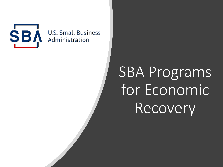

**U.S. Small Business** Administration

# SBA Programs for Economic Recovery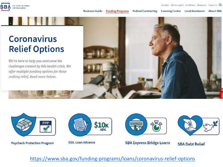

### **Coronavirus Relief Options**

We're here to help you overcome the challenges created by this health crisis. We offer multiple funding options for those seeking relief. Read more below.





Paycheck Protection Program



**EIDL Loan Advance** 



**SBA Express Bridge Loans** 



**SBA Debt Relief** 

https://www.sba.gov/funding-programs/loans/coronavirus-relief-options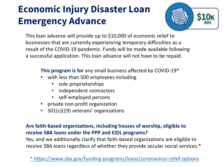## **Economic Injury Disaster Loan Emergency Advance**



This loan advance will provide up to \$10,000 of economic relief to businesses that are currently experiencing temporary difficulties as a result of the COVID-19 pandemic. Funds will be made available following a successful application. This loan advance will not have to be repaid.

**This program is for** any small business affected by COVID-19\*

- with less than 500 employees including
	- sole proprietorships
	- independent contractors
	- self-employed persons
- private non-profit organization
- 501(c)(19) veterans' organizations

#### **Are faith-based organizations, including houses of worship, eligible to receive SBA loans under the PPP and EIDL programs?**

Yes, and we additionally clarify that faith-based organizations are eligible to receive SBA loans regardless of whether they provide secular social services.\*

[\\* https://www.sba.gov/funding-programs/loans/coronavirus-relief-options](https://www.sba.gov/funding-programs/loans/coronavirus-relief-options)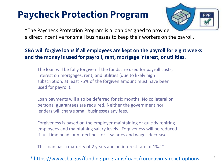### **Paycheck Protection Program**



"The Paycheck Protection Program is a loan designed to provide a direct incentive for small businesses to keep their workers on the payroll.

### **SBA will forgive loans if all employees are kept on the payroll for eight weeks and the money is used for payroll, rent, mortgage interest, or utilities.**

The loan will be fully forgiven if the funds are used for payroll costs, interest on mortgages, rent, and utilities (due to likely high subscription, at least 75% of the forgiven amount must have been used for payroll).

Loan payments will also be deferred for six months. No collateral or personal guarantees are required. Neither the government nor lenders will charge small businesses any fees.

Forgiveness is based on the employer maintaining or quickly rehiring employees and maintaining salary levels. Forgiveness will be reduced if full-time headcount declines, or if salaries and wages decrease.

This loan has a maturity of 2 years and an interest rate of 1%."\*

### [\\* https://www.sba.gov/funding-programs/loans/coronavirus-relief-options](https://www.sba.gov/funding-programs/loans/coronavirus-relief-options)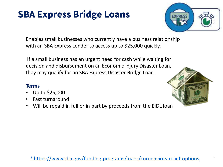### **SBA Express Bridge Loans**



Enables small businesses who currently have a business relationship with an SBA Express Lender to access up to \$25,000 quickly.

If a small business has an urgent need for cash while waiting for decision and disbursement on an Economic Injury Disaster Loan, they may qualify for an SBA Express Disaster Bridge Loan.

#### **Terms**

- Up to \$25,000
- Fast turnaround
- Will be repaid in full or in part by proceeds from the EIDL loan



[<sup>\\*</sup> https://www.sba.gov/funding-programs/loans/coronavirus-relief-options](https://www.sba.gov/funding-programs/loans/coronavirus-relief-options)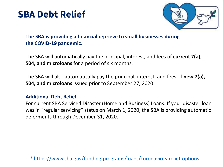### **SBA Debt Relief**



### **The SBA is providing a financial reprieve to small businesses during the COVID-19 pandemic.**

The SBA will automatically pay the principal, interest, and fees of **current 7(a), 504, and microloans** for a period of six months.

The SBA will also automatically pay the principal, interest, and fees of **new 7(a), 504, and microloans** issued prior to September 27, 2020.

#### **Additional Debt Relief**

For current SBA Serviced Disaster (Home and Business) Loans: If your disaster loan was in "regular servicing" status on March 1, 2020, the SBA is providing automatic deferments through December 31, 2020.

[\\* https://www.sba.gov/funding-programs/loans/coronavirus-relief-options](https://www.sba.gov/funding-programs/loans/coronavirus-relief-options)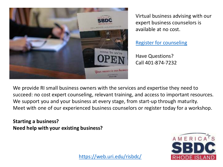

Virtual business advising with our expert business counselors is available at no cost.

[Register for counseling](https://www.risbdc.org/reg.aspx?mode=counsel¢er=14070&subloc=0)

Have Questions? Call 401-874-7232

We provide RI small business owners with the services and expertise they need to succeed: no cost expert counseling, relevant training, and access to important resources. We support you and your business at every stage, from start-up through maturity. Meet with one of our experienced business counselors or register today for a workshop.

**Starting a business? Need help with your existing business?**



<https://web.uri.edu/risbdc/>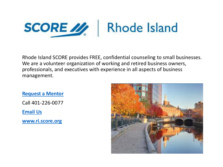

Rhode Island SCORE provides FREE, confidential counseling to small businesses. We are a volunteer organization of working and retired business owners, professionals, and executives with experience in all aspects of business management.

**[Request a Mentor](https://ri.score.org/content/find-mentor-194)**

Call 401-226-0077

**[Email Us](mailto:RI%20SCORE%20%3crhode.island.score@gmail.com%3e)** 

**[www.ri.score.org](http://www.ri.score.org/)**

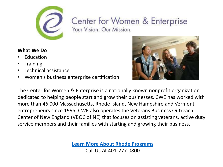

## Center for Women & Enterprise

Your Vision, Our Mission.

#### **What We Do**

- **Education**
- Training
- Technical assistance
- Women's business enterprise certification



The Center for Women & Enterprise is a nationally known nonprofit organization dedicated to helping people start and grow their businesses. CWE has worked with more than 46,000 Massachusetts, Rhode Island, New Hampshire and Vermont entrepreneurs since 1995. CWE also operates the Veterans Business Outreach Center of New England (VBOC of NE) that focuses on assisting veterans, active duty service members and their families with starting and growing their business.

> **[Learn More About Rhode Programs](https://www.cweonline.org/About-CWE/CWE-Rhode-Island)** Call Us At 401-277-0800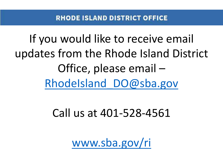If you would like to receive email updates from the Rhode Island District Office, please email – [RhodeIsland\\_DO@sba.gov](mailto:RhodeIsland_DO@sba.gov)

Call us at 401-528-4561

[www.sba.gov/ri](http://www.sba.gov/ri)